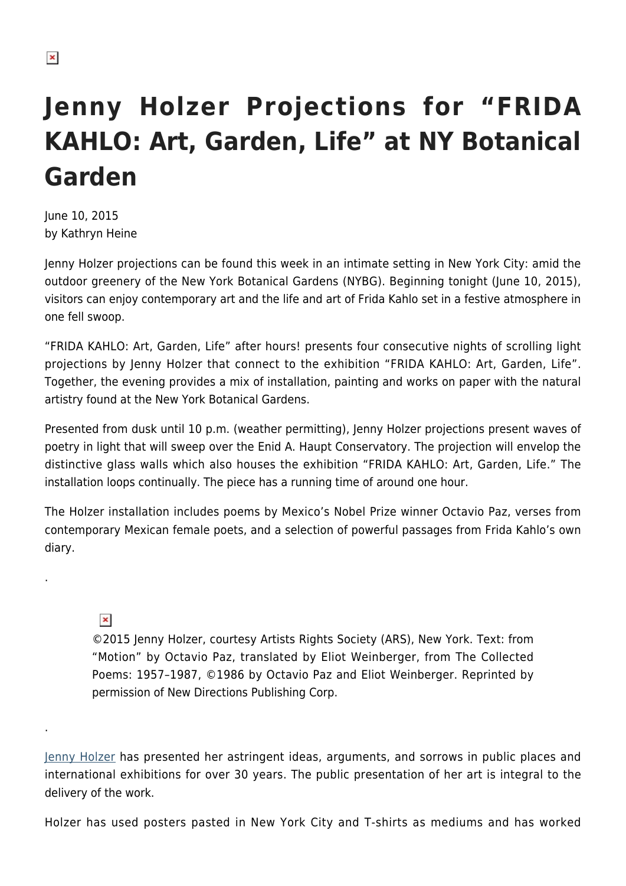## **Jenny Holzer Projections for "FRIDA KAHLO: Art, Garden, Life" at NY Botanical Garden**

June 10, 2015 by Kathryn Heine

Jenny Holzer projections can be found this week in an intimate setting in New York City: amid the outdoor greenery of the New York Botanical Gardens (NYBG). Beginning tonight (June 10, 2015), visitors can enjoy contemporary art and the life and art of Frida Kahlo set in a festive atmosphere in one fell swoop.

"FRIDA KAHLO: Art, Garden, Life" after hours! presents four consecutive nights of scrolling light projections by Jenny Holzer that connect to the exhibition "FRIDA KAHLO: Art, Garden, Life". Together, the evening provides a mix of installation, painting and works on paper with the natural artistry found at the New York Botanical Gardens.

Presented from dusk until 10 p.m. (weather permitting), Jenny Holzer projections present waves of poetry in light that will sweep over the Enid A. Haupt Conservatory. The projection will envelop the distinctive glass walls which also houses the exhibition "FRIDA KAHLO: Art, Garden, Life." The installation loops continually. The piece has a running time of around one hour.

The Holzer installation includes poems by Mexico's Nobel Prize winner Octavio Paz, verses from contemporary Mexican female poets, and a selection of powerful passages from Frida Kahlo's own diary.

## $\pmb{\times}$

.

.

©2015 Jenny Holzer, courtesy Artists Rights Society (ARS), New York. Text: from "Motion" by Octavio Paz, translated by Eliot Weinberger, from The Collected Poems: 1957–1987, ©1986 by Octavio Paz and Eliot Weinberger. Reprinted by permission of New Directions Publishing Corp.

[Jenny Holzer](http://www.cheimread.com/artists/jenny-holzer) has presented her astringent ideas, arguments, and sorrows in public places and international exhibitions for over 30 years. The public presentation of her art is integral to the delivery of the work.

Holzer has used posters pasted in New York City and T-shirts as mediums and has worked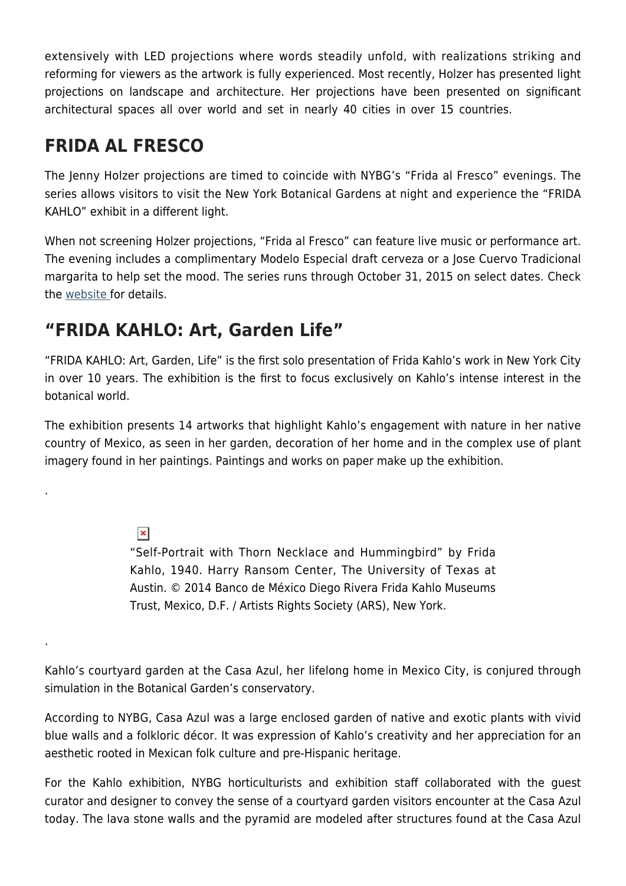extensively with LED projections where words steadily unfold, with realizations striking and reforming for viewers as the artwork is fully experienced. Most recently, Holzer has presented light projections on landscape and architecture. Her projections have been presented on significant architectural spaces all over world and set in nearly 40 cities in over 15 countries.

## **FRIDA AL FRESCO**

The Jenny Holzer projections are timed to coincide with NYBG's "Frida al Fresco" evenings. The series allows visitors to visit the New York Botanical Gardens at night and experience the "FRIDA KAHLO" exhibit in a different light.

When not screening Holzer projections, "Frida al Fresco" can feature live music or performance art. The evening includes a complimentary Modelo Especial draft cerveza or a Jose Cuervo Tradicional margarita to help set the mood. The series runs through October 31, 2015 on select dates. Check the [website f](http://www.nybg.org/frida/evenings.html)or details.

## **"FRIDA KAHLO: Art, Garden Life"**

"FRIDA KAHLO: Art, Garden, Life" is the first solo presentation of Frida Kahlo's work in New York City in over 10 years. The exhibition is the first to focus exclusively on Kahlo's intense interest in the botanical world.

The exhibition presents 14 artworks that highlight Kahlo's engagement with nature in her native country of Mexico, as seen in her garden, decoration of her home and in the complex use of plant imagery found in her paintings. Paintings and works on paper make up the exhibition.

 $\pmb{\times}$ 

.

.

"Self-Portrait with Thorn Necklace and Hummingbird" by Frida Kahlo, 1940. Harry Ransom Center, The University of Texas at Austin. © 2014 Banco de México Diego Rivera Frida Kahlo Museums Trust, Mexico, D.F. / Artists Rights Society (ARS), New York.

Kahlo's courtyard garden at the Casa Azul, her lifelong home in Mexico City, is conjured through simulation in the Botanical Garden's conservatory.

According to NYBG, Casa Azul was a large enclosed garden of native and exotic plants with vivid blue walls and a folkloric décor. It was expression of Kahlo's creativity and her appreciation for an aesthetic rooted in Mexican folk culture and pre-Hispanic heritage.

For the Kahlo exhibition, NYBG horticulturists and exhibition staff collaborated with the guest curator and designer to convey the sense of a courtyard garden visitors encounter at the Casa Azul today. The lava stone walls and the pyramid are modeled after structures found at the Casa Azul